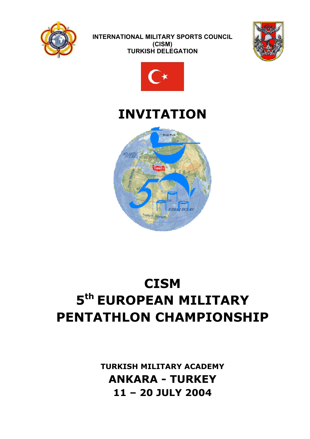





# **INVITATION**



# **CISM 5th EUROPEAN MILITARY PENTATHLON CHAMPIONSHIP**

**TURKISH MILITARY ACADEMY ANKARA - TURKEY 11 – 20 JULY 2004**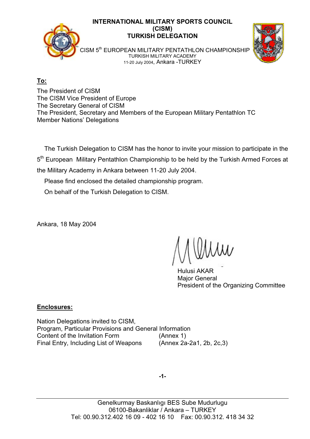

**To:**

The President of CISM The CISM Vice President of Europe The Secretary General of CISM The President, Secretary and Members of the European Military Pentathlon TC Member Nations' Delegations

 The Turkish Delegation to CISM has the honor to invite your mission to participate in the 5<sup>th</sup> European Military Pentathlon Championship to be held by the Turkish Armed Forces at the Military Academy in Ankara between 11-20 July 2004.

Please find enclosed the detailed championship program.

On behalf of the Turkish Delegation to CISM.

Ankara, 18 May 2004

 Hulusi AKAR Major General President of the Organizing Committee

## **Enclosures:**

Nation Delegations invited to CISM, Program, Particular Provisions and General Information Content of the Invitation Form (Annex 1) Final Entry, Including List of Weapons (Annex 2a-2a1, 2b, 2c,3)

**-1-**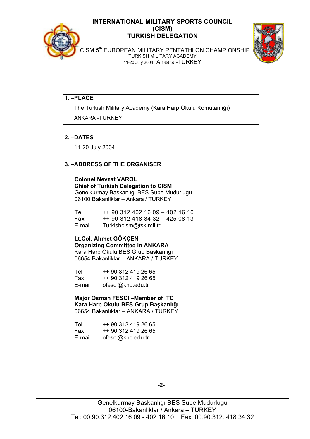



 CISM 5th EUROPEAN MILITARY PENTATHLON CHAMPIONSHIP TURKISH MILITARY ACADEMY 11-20 July 2004, Ankara -TURKEY

#### **1. –PLACE**

The Turkish Military Academy (Kara Harp Okulu Komutanlı÷ı)

ANKARA -TURKEY

#### **2. –DATES**

11-20 July 2004

#### **3. –ADDRESS OF THE ORGANISER**

**Colonel Nevzat VAROL Chief of Turkish Delegation to CISM**  Genelkurmay Baskanlıgı BES Sube Mudurlugu 06100 Bakanliklar – Ankara / TURKEY Tel : ++ 90 312 402 16 09 – 402 16 10

 Fax : ++ 90 312 418 34 32 – 425 08 13 E-mail : Turkishcism@tsk.mil.tr

**Lt.Col. Ahmet GÖKÇEN Organizing Committee in ANKARA**  Kara Harp Okulu BES Grup Baskanlıgı 06654 Bakanliklar – ANKARA / TURKEY

 Tel : ++ 90 312 419 26 65 Fax : ++ 90 312 419 26 65 E-mail : ofesci@kho.edu.tr

**Major Osman FESCI –Member of TC Kara Harp Okulu BES Grup Başkanlığı** 06654 Bakanlıklar – ANKARA / TURKEY

 Tel : ++ 90 312 419 26 65 Fax : ++ 90 312 419 26 65 E-mail : ofesci@kho.edu.tr

**-2-**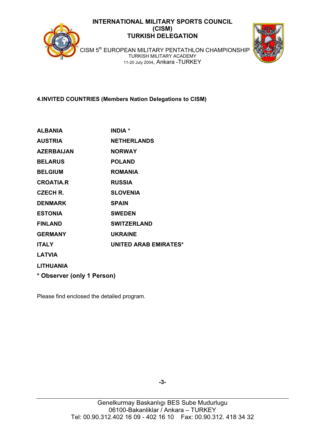



CISM 5<sup>th</sup> EUROPEAN MILITARY PENTATHLON CHAMPIONSHIP TURKISH MILITARY ACADEMY 11-20 July 2004, Ankara -TURKEY

**4.INVITED COUNTRIES (Members Nation Delegations to CISM)** 

| <b>ALBANIA</b>             | <b>INDIA</b> *               |
|----------------------------|------------------------------|
| <b>AUSTRIA</b>             | <b>NETHERLANDS</b>           |
| <b>AZERBAIJAN</b>          | <b>NORWAY</b>                |
| <b>BELARUS</b>             | <b>POLAND</b>                |
| <b>BELGIUM</b>             | <b>ROMANIA</b>               |
| <b>CROATIA.R</b>           | <b>RUSSIA</b>                |
| CZECH R.                   | <b>SLOVENIA</b>              |
| <b>DENMARK</b>             | <b>SPAIN</b>                 |
| <b>ESTONIA</b>             | <b>SWEDEN</b>                |
| <b>FINLAND</b>             | <b>SWITZERLAND</b>           |
| <b>GERMANY</b>             | <b>UKRAINE</b>               |
| <b>ITALY</b>               | <b>UNITED ARAB EMIRATES*</b> |
| <b>LATVIA</b>              |                              |
| <b>LITHUANIA</b>           |                              |
| * Observer (only 1 Person) |                              |

Please find enclosed the detailed program.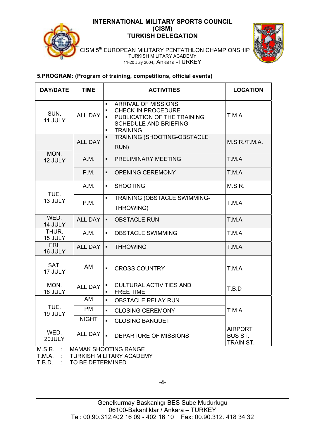



 CISM 5th EUROPEAN MILITARY PENTATHLON CHAMPIONSHIP TURKISH MILITARY ACADEMY 11-20 July 2004, Ankara -TURKEY

#### **5.PROGRAM: (Program of training, competitions, official events)**

| <b>DAY/DATE</b>  | <b>TIME</b>                                            | <b>LOCATION</b><br><b>ACTIVITIES</b>                                                                                                                                                                                       |               |  |
|------------------|--------------------------------------------------------|----------------------------------------------------------------------------------------------------------------------------------------------------------------------------------------------------------------------------|---------------|--|
| SUN.<br>11 JULY  | <b>ALL DAY</b>                                         | <b>ARRIVAL OF MISSIONS</b><br>$\blacksquare$<br><b>CHECK-IN PROCEDURE</b><br>$\blacksquare$<br>T.M.A<br>PUBLICATION OF THE TRAINING<br>$\blacksquare$<br><b>SCHEDULE AND BRIEFING</b><br><b>TRAINING</b><br>$\blacksquare$ |               |  |
| MON.             | <b>ALL DAY</b>                                         | TRAINING (SHOOTING-OBSTACLE<br>RUN)                                                                                                                                                                                        | M.S.R./T.M.A. |  |
| 12 JULY          | A.M.                                                   | PRELIMINARY MEETING<br>$\blacksquare$                                                                                                                                                                                      | T.M.A         |  |
|                  | P.M.                                                   | <b>OPENING CEREMONY</b><br>$\blacksquare$                                                                                                                                                                                  | T.M.A         |  |
| TUE.             | A.M.                                                   | <b>SHOOTING</b><br>$\blacksquare$                                                                                                                                                                                          | M.S.R.        |  |
| 13 JULY          | P.M.                                                   | TRAINING (OBSTACLE SWIMMING-<br>$\blacksquare$<br>THROWING)                                                                                                                                                                | T.M.A         |  |
| WED.<br>14 JULY  | <b>ALL DAY</b>                                         | $\blacksquare$<br><b>OBSTACLE RUN</b><br>T.M.A                                                                                                                                                                             |               |  |
| THUR.<br>15 JULY | A.M.                                                   | <b>OBSTACLE SWIMMING</b><br>T.M.A<br>$\blacksquare$                                                                                                                                                                        |               |  |
| FRI.<br>16 JULY  | <b>ALL DAY</b>                                         | <b>THROWING</b><br>T.M.A<br>$\blacksquare$                                                                                                                                                                                 |               |  |
| SAT.<br>17 JULY  | <b>AM</b>                                              | <b>CROSS COUNTRY</b><br>T.M.A<br>$\blacksquare$                                                                                                                                                                            |               |  |
| MON.<br>18 JULY  | <b>ALL DAY</b>                                         | <b>CULTURAL ACTIVITIES AND</b><br>T.B.D<br><b>FREE TIME</b><br>٠                                                                                                                                                           |               |  |
|                  | AM                                                     | <b>OBSTACLE RELAY RUN</b><br>$\blacksquare$                                                                                                                                                                                |               |  |
| TUE.<br>19 JULY  | <b>PM</b><br>$\blacksquare$<br><b>CLOSING CEREMONY</b> |                                                                                                                                                                                                                            | T.M.A         |  |
|                  | <b>NIGHT</b>                                           | $\blacksquare$<br><b>CLOSING BANQUET</b>                                                                                                                                                                                   |               |  |
| WED.<br>20JULY   | <b>ALL DAY</b>                                         | <b>AIRPORT</b><br>$\blacksquare$<br><b>DEPARTURE OF MISSIONS</b><br><b>BUS ST.</b><br>TRAIN ST.                                                                                                                            |               |  |
| $M.S.R.$ :       |                                                        | <b>MAMAK SHOOTING RANGE</b>                                                                                                                                                                                                |               |  |

T.M.A. : TURKISH MILITARY ACADEMY

T.B.D. : TO BE DETERMINED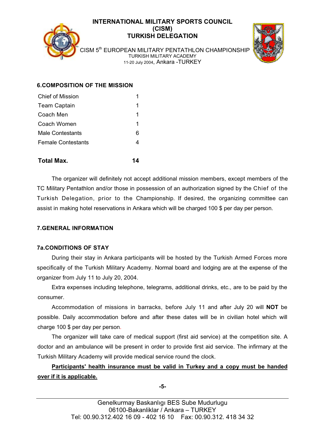



CISM 5<sup>th</sup> EUROPEAN MILITARY PENTATHLON CHAMPIONSHIP TURKISH MILITARY ACADEMY 11-20 July 2004, Ankara -TURKEY

## **6.COMPOSITION OF THE MISSION**

| Chief of Mission          |   |
|---------------------------|---|
| <b>Team Captain</b>       | 1 |
| Coach Men                 | 1 |
| Coach Women               | 1 |
| <b>Male Contestants</b>   | 6 |
| <b>Female Contestants</b> | 4 |
|                           |   |

#### **Total Max. 14**

 The organizer will definitely not accept additional mission members, except members of the TC Military Pentathlon and/or those in possession of an authorization signed by the Chief of the Turkish Delegation, prior to the Championship. If desired, the organizing committee can assist in making hotel reservations in Ankara which will be charged 100 \$ per day per person.

#### **7.GENERAL INFORMATION**

#### **7a.CONDITIONS OF STAY**

 During their stay in Ankara participants will be hosted by the Turkish Armed Forces more specifically of the Turkish Military Academy. Normal board and lodging are at the expense of the organizer from July 11 to July 20, 2004.

 Extra expenses including telephone, telegrams, additional drinks, etc., are to be paid by the consumer.

 Accommodation of missions in barracks, before July 11 and after July 20 will **NOT** be possible. Daily accommodation before and after these dates will be in civilian hotel which will charge 100 \$ per day per person.

 The organizer will take care of medical support (first aid service) at the competition site. A doctor and an ambulance will be present in order to provide first aid service. The infirmary at the Turkish Military Academy will provide medical service round the clock.

 **Participants' health insurance must be valid in Turkey and a copy must be handed over if it is applicable.**

**-5-**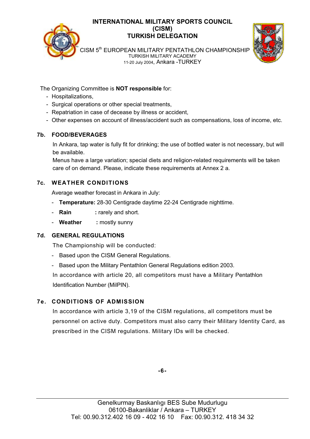



CISM 5<sup>th</sup> EUROPEAN MILITARY PENTATHLON CHAMPIONSHIP TURKISH MILITARY ACADEMY 11-20 July 2004, Ankara -TURKEY

The Organizing Committee is **NOT responsible** for:

- Hospitalizations,
- Surgical operations or other special treatments,
- Repatriation in case of decease by illness or accident,
- Other expenses on account of illness/accident such as compensations, loss of income, etc.

## **7b. FOOD/BEVERAGES**

In Ankara, tap water is fully fit for drinking; the use of bottled water is not necessary, but will be available.

Menus have a large variation; special diets and religion-related requirements will be taken care of on demand. Please, indicate these requirements at Annex 2 a.

## **7c. WEATHER CONDITIONS**

Average weather forecast in Ankara in July:

- **Temperature:** 28-30 Centigrade daytime 22-24 Centigrade nighttime.
- **Rain** : rarely and short.
- - **Weather :** mostly sunny

## **7d. GENERAL REGULATIONS**

The Championship will be conducted:

- Based upon the CISM General Regulations.
- Based upon the Military Pentathlon General Regulations edition 2003.

 In accordance with article 20, all competitors must have a Military Pentathlon Identification Number (MilPIN).

## **7e. CONDITIONS OF ADMISSION**

 In accordance with article 3,19 of the CISM regulations, all competitors must be personnel on active duty. Competitors must also carry their Military Identity Card, as prescribed in the CISM regulations. Military IDs will be checked.

**-6-**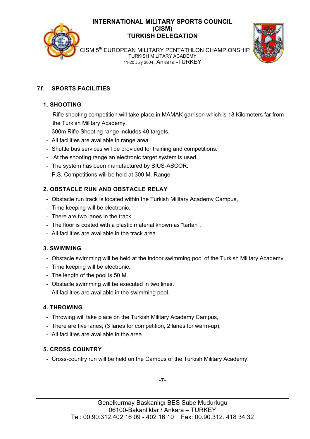



CISM 5<sup>th</sup> EUROPEAN MILITARY PENTATHLON CHAMPIONSHIP TURKISH MILITARY ACADEMY 11-20 July 2004, Ankara -TURKEY

## **7f. SPORTS FACILITIES**

## **1. SHOOTING**

- Rifle shooting competition will take place in MAMAK garrison which is 18 Kilometers far from the Turkish Military Academy.
- 300m Rifle Shooting range includes 40 targets.
- All facilities are available in range area.
- Shuttle bus services will be provided for training and competitions.
- At the shooting range an electronic target system is used.
- The system has been manufactured by SIUS-ASCOR.
- P.S. Competitions will be held at 300 M. Range

## **2. OBSTACLE RUN AND OBSTACLE RELAY**

- Obstacle run track is located within the Turkish Military Academy Campus,
- Time keeping will be electronic,
- There are two lanes in the track,
- The floor is coated with a plastic material known as "tartan",
- All facilities are available in the track area.

## **3. SWIMMING**

- Obstacle swimming will be held at the indoor swimming pool of the Turkish Military Academy.
- Time keeping will be electronic.
- The length of the pool is 50 M.
- Obstacle swimming will be executed in two lines.
- All facilities are available in the swimming pool.

## **4. THROWING**

- Throwing will take place on the Turkish Military Academy Campus,
- There are five lanes; (3 lanes for competition, 2 lanes for warm-up),
- All facilities are available in the area.

## **5. CROSS COUNTRY**

- Cross-country run will be held on the Campus of the Turkish Military Academy.

**-7-**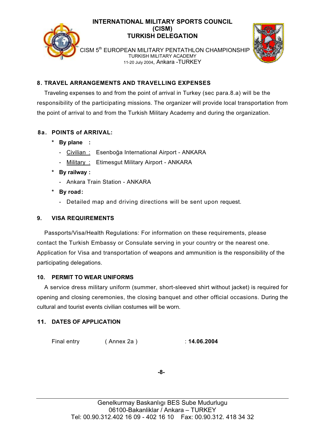



CISM 5<sup>th</sup> EUROPEAN MILITARY PENTATHLON CHAMPIONSHIP TURKISH MILITARY ACADEMY 11-20 July 2004, Ankara -TURKEY

## **8. TRAVEL ARRANGEMENTS AND TRAVELLING EXPENSES**

Traveling expenses to and from the point of arrival in Turkey (sec para.8.a) will be the responsibility of the participating missions. The organizer will provide local transportation from the point of arrival to and from the Turkish Military Academy and during the organization.

## **8a. POINTS of ARRIVAL:**

- **\* By plane :** 
	- Civilian : Esenboğa International Airport ANKARA
	- Military : Etimesgut Military Airport ANKARA
- **\* By railway :** 
	- Ankara Train Station ANKARA
- **\* By road :** 
	- Detailed map and driving directions will be sent upon request.

## **9. VISA REQUIREMENTS**

Passports/Visa/Health Regulations: For information on these requirements, please contact the Turkish Embassy or Consulate serving in your country or the nearest one. Application for Visa and transportation of weapons and ammunition is the responsibility of the participating delegations.

## **10. PERMIT TO WEAR UNIFORMS**

A service dress military uniform (summer, short-sleeved shirt without jacket) is required for opening and closing ceremonies, the closing banquet and other official occasions. During the cultural and tourist events civilian costumes will be worn.

## **11. DATES OF APPLICATION**

Final entry ( Annex 2a ) : **14.06.2004** 

**-8-**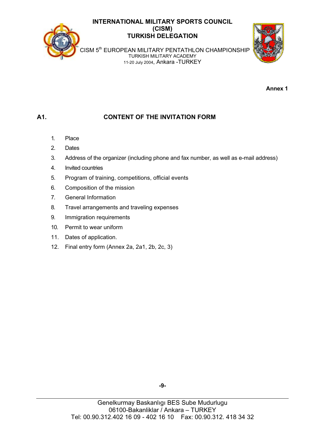

TURKISH MILITARY ACADEMY 11-20 July 2004, Ankara -TURKEY

**Annex 1**

## **A1. CONTENT OF THE INVITATION FORM**

- 1. Place
- 2. Dates
- 3. Address of the organizer (including phone and fax number, as well as e-mail address)
- 4. Invited countries
- 5. Program of training, competitions, official events
- 6. Composition of the mission
- 7. General Information
- 8. Travel arrangements and traveling expenses
- 9. Immigration requirements
- 10. Permit to wear uniform
- 11. Dates of application.
- 12. Final entry form (Annex 2a, 2a1, 2b, 2c, 3)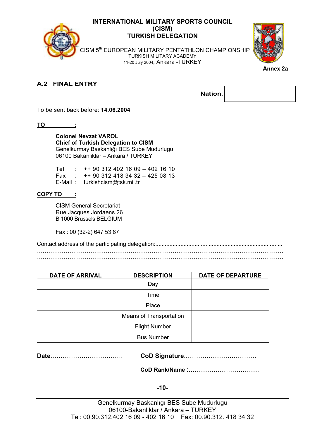

CISM 5<sup>th</sup> EUROPEAN MILITARY PENTATHLON CHAMPIONSHIP TURKISH MILITARY ACADEMY 11-20 July 2004, Ankara -TURKEY



**Annex 2a** 

#### **A.2 FINAL ENTRY**

To be sent back before: **14.06.2004**

**TO :** 

**Colonel Nevzat VAROL Chief of Turkish Delegation to CISM**  Genelkurmay Baskanlığı BES Sube Mudurlugu 06100 Bakanliklar – Ankara / TURKEY

|  | Tel : ++ 90 312 402 16 09 - 402 16 10  |
|--|----------------------------------------|
|  | Fax : $+$ 90 312 418 34 32 - 425 08 13 |
|  | E-Mail: turkishcism@tsk.mil.tr         |

#### **COPY TO :**

 CISM General Secretariat Rue Jacques Jordaens 26 B 1000 Brussels BELGIUM

Fax : 00 (32-2) 647 53 87

Contact address of the participating delegation:................................................................................. …………………………………………………………………………………………………………………  $\mathcal{L}^{\text{max}}_{\text{max}}$ 

| <b>DATE OF ARRIVAL</b> | <b>DESCRIPTION</b>             | <b>DATE OF DEPARTURE</b> |
|------------------------|--------------------------------|--------------------------|
|                        | Day                            |                          |
|                        | Time                           |                          |
|                        | Place                          |                          |
|                        | <b>Means of Transportation</b> |                          |
|                        | <b>Flight Number</b>           |                          |
|                        | <b>Bus Number</b>              |                          |

**Date**:……………………………. **CoD Signature**:…………………………….

**CoD Rank/Name** :…………………………….

#### **-10-**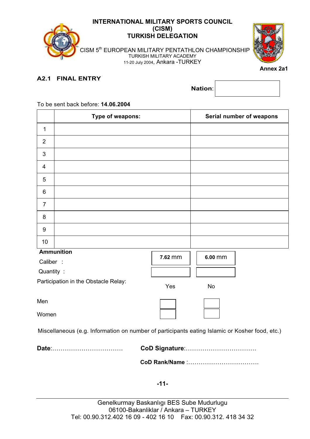



**Annex 2a1** 

#### **A2.1 FINAL ENTRY**

**Nation**:

## **Type of weapons: Serial number of weapons**  1 2 3 4 5 6 7 8 9 10  **Ammunition**  Caliber : Quantity : Participation in the Obstacle Relay: Men Women Miscellaneous (e.g. Information on number of participants eating Islamic or Kosher food, etc.) **Date**:……………………………. **CoD Signature**:…………………………….  **CoD Rank/Name** :……………………………. Yes No **7.62** mm **6.00** mm

#### To be sent back before: **14.06.2004**

**-11-**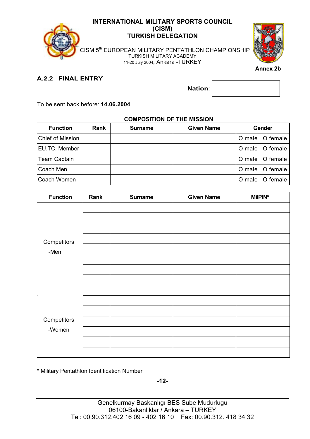

CISM 5<sup>th</sup> EUROPEAN MILITARY PENTATHLON CHAMPIONSHIP TURKISH MILITARY ACADEMY 11-20 July 2004, Ankara -TURKEY



 **Annex 2b** 

## **A.2.2 FINAL ENTRY**

To be sent back before: **14.06.2004**

## **COMPOSITION OF THE MISSION**

| <b>Function</b>     | <b>Rank</b> | <b>Surname</b> | <b>Given Name</b> | Gender |                 |
|---------------------|-------------|----------------|-------------------|--------|-----------------|
| Chief of Mission    |             |                |                   |        | O male O female |
| EU.TC. Member       |             |                |                   |        | O male O female |
| <b>Team Captain</b> |             |                |                   |        | O male O female |
| Coach Men           |             |                |                   |        | O male O female |
| Coach Women         |             |                |                   |        | O male O female |

| <b>Function</b> | Rank | <b>Surname</b> | <b>Given Name</b> | <b>MilPIN*</b> |
|-----------------|------|----------------|-------------------|----------------|
|                 |      |                |                   |                |
|                 |      |                |                   |                |
|                 |      |                |                   |                |
| Competitors     |      |                |                   |                |
| -Men            |      |                |                   |                |
|                 |      |                |                   |                |
|                 |      |                |                   |                |
|                 |      |                |                   |                |
|                 |      |                |                   |                |
|                 |      |                |                   |                |
|                 |      |                |                   |                |
| Competitors     |      |                |                   |                |
| -Women          |      |                |                   |                |
|                 |      |                |                   |                |
|                 |      |                |                   |                |

\* Military Pentathlon Identification Number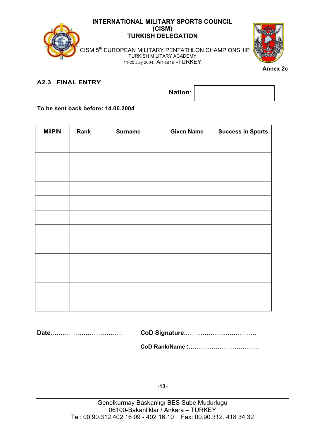

CISM 5<sup>th</sup> EUROPEAN MILITARY PENTATHLON CHAMPIONSHIP TURKISH MILITARY ACADEMY 11-20 July 2004, Ankara -TURKEY



#### **A2.3 FINAL ENTRY**

**Nation**:

**To be sent back before: 14.06.2004**

| <b>MilPIN</b> | Rank | <b>Surname</b> | <b>Given Name</b> | <b>Success in Sports</b> |
|---------------|------|----------------|-------------------|--------------------------|
|               |      |                |                   |                          |
|               |      |                |                   |                          |
|               |      |                |                   |                          |
|               |      |                |                   |                          |
|               |      |                |                   |                          |
|               |      |                |                   |                          |
|               |      |                |                   |                          |
|               |      |                |                   |                          |
|               |      |                |                   |                          |
|               |      |                |                   |                          |
|               |      |                |                   |                          |
|               |      |                |                   |                          |

**Date**:……………………………. **CoD Signature**:…………………………….

 **CoD Rank/Name** :…………………………….